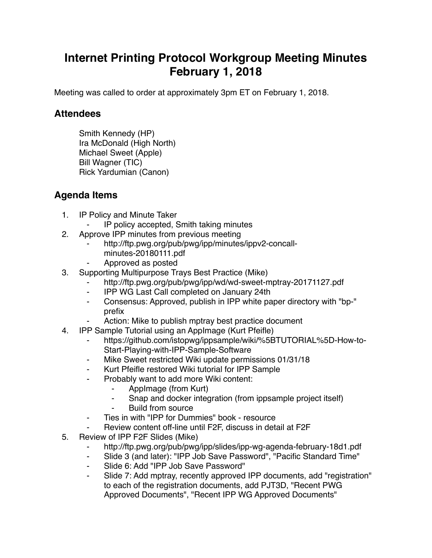## **Internet Printing Protocol Workgroup Meeting Minutes February 1, 2018**

Meeting was called to order at approximately 3pm ET on February 1, 2018.

## **Attendees**

Smith Kennedy (HP) Ira McDonald (High North) Michael Sweet (Apple) Bill Wagner (TIC) Rick Yardumian (Canon)

## **Agenda Items**

- 1. IP Policy and Minute Taker
	- ⁃ IP policy accepted, Smith taking minutes
- 2. Approve IPP minutes from previous meeting
	- http://ftp.pwg.org/pub/pwg/ipp/minutes/ippv2-concallminutes-20180111.pdf
	- ⁃ Approved as posted
- 3. Supporting Multipurpose Trays Best Practice (Mike)
	- http://ftp.pwg.org/pub/pwg/ipp/wd/wd-sweet-mptray-20171127.pdf
	- ⁃ IPP WG Last Call completed on January 24th
	- ⁃ Consensus: Approved, publish in IPP white paper directory with "bp-" prefix
	- Action: Mike to publish mptray best practice document
- 4. IPP Sample Tutorial using an AppImage (Kurt Pfeifle)
	- https://github.com/istopwg/ippsample/wiki/%5BTUTORIAL%5D-How-to-Start-Playing-with-IPP-Sample-Software
	- ⁃ Mike Sweet restricted Wiki update permissions 01/31/18
	- ⁃ Kurt Pfeifle restored Wiki tutorial for IPP Sample
	- Probably want to add more Wiki content:
		- ⁃ AppImage (from Kurt)
		- ⁃ Snap and docker integration (from ippsample project itself)
		- Build from source
	- ⁃ Ties in with "IPP for Dummies" book resource
	- Review content off-line until F2F, discuss in detail at F2F
- 5. Review of IPP F2F Slides (Mike)
	- http://ftp.pwg.org/pub/pwg/ipp/slides/ipp-wg-agenda-february-18d1.pdf
	- ⁃ Slide 3 (and later): "IPP Job Save Password", "Pacific Standard Time"
	- ⁃ Slide 6: Add "IPP Job Save Password"
	- Slide 7: Add mptray, recently approved IPP documents, add "registration" to each of the registration documents, add PJT3D, "Recent PWG Approved Documents", "Recent IPP WG Approved Documents"